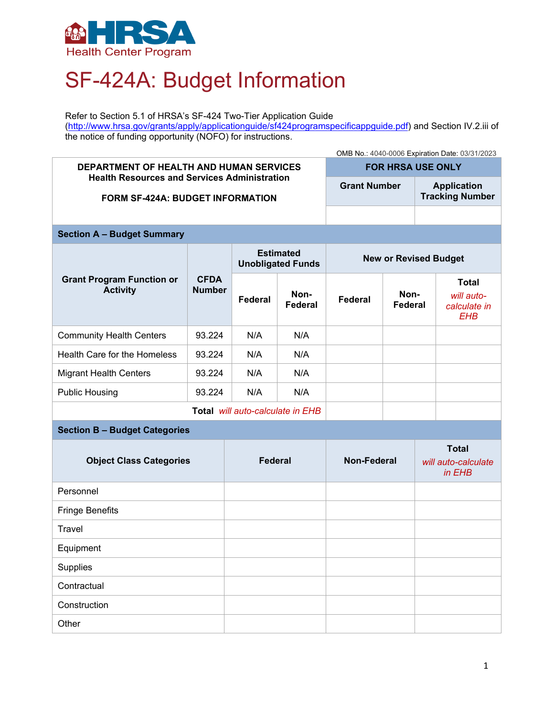

## SF-424A: Budget Information

Refer to Section 5.1 of HRSA's SF-424 Two-Tier Application Guide [\(http://www.hrsa.gov/grants/apply/applicationguide/sf424programspecificappguide.pdf\)](http://www.hrsa.gov/grants/apply/applicationguide/sf424programspecificappguide.pdf) and Section IV.2.iii of the notice of funding opportunity (NOFO) for instructions.

## OMB No.: 4040-0006 Expiration Date: 03/31/2023 **DEPARTMENT OF HEALTH AND HUMAN SERVICES Health Resources and Services Administration FORM SF-424A: BUDGET INFORMATION FOR HRSA USE ONLY Grant Number Application Tracking Number Section A – Budget Summary Grant Program Function or Activity CFDA Number Estimated Unobligated Funds New or Revised Budget Federal Non-Federal Federal Non-Federal Total**  *will autocalculate in EHB* Community Health Centers | 93.224 | N/A | N/A Health Care for the Homeless  $\begin{array}{|c|c|c|c|c|c|} \hline \end{array}$  N/A N/A Migrant Health Centers | 93.224 | N/A | N/A Public Housing 23.224 N/A N/A **Total** *will auto-calculate in EHB* **Section B – Budget Categories Object Class Categories Federal Mon-Federal Total**  *will auto-calculate in EHB*

| Personnel              |  |  |
|------------------------|--|--|
| <b>Fringe Benefits</b> |  |  |
| Travel                 |  |  |
| Equipment              |  |  |
| Supplies               |  |  |
| Contractual            |  |  |
| Construction           |  |  |
| Other                  |  |  |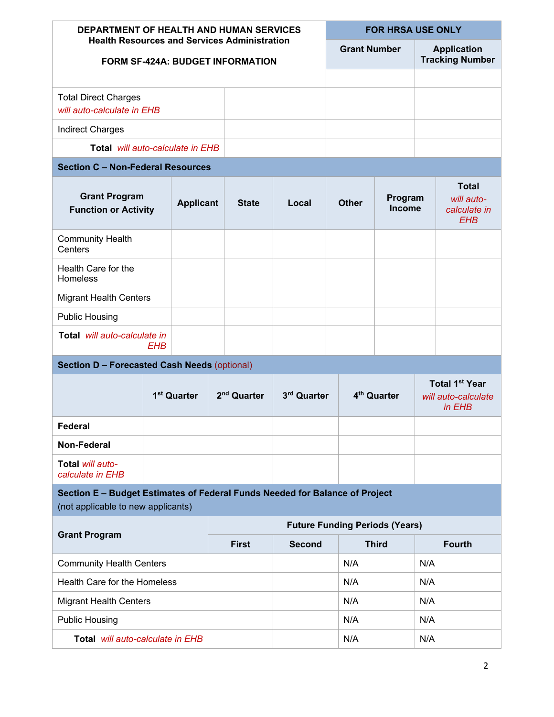| <b>DEPARTMENT OF HEALTH AND HUMAN SERVICES</b>                                                                    |                                         |                  |                         | <b>FOR HRSA USE ONLY</b> |                                       |                     |              |                                              |  |                                                          |  |
|-------------------------------------------------------------------------------------------------------------------|-----------------------------------------|------------------|-------------------------|--------------------------|---------------------------------------|---------------------|--------------|----------------------------------------------|--|----------------------------------------------------------|--|
| <b>Health Resources and Services Administration</b><br><b>FORM SF-424A: BUDGET INFORMATION</b>                    |                                         |                  |                         |                          |                                       | <b>Grant Number</b> |              | <b>Application</b><br><b>Tracking Number</b> |  |                                                          |  |
|                                                                                                                   |                                         |                  |                         |                          |                                       |                     |              |                                              |  |                                                          |  |
| <b>Total Direct Charges</b><br>will auto-calculate in EHB                                                         |                                         |                  |                         |                          |                                       |                     |              |                                              |  |                                                          |  |
| <b>Indirect Charges</b>                                                                                           |                                         |                  |                         |                          |                                       |                     |              |                                              |  |                                                          |  |
|                                                                                                                   | <b>Total</b> will auto-calculate in EHB |                  |                         |                          |                                       |                     |              |                                              |  |                                                          |  |
| <b>Section C - Non-Federal Resources</b>                                                                          |                                         |                  |                         |                          |                                       |                     |              |                                              |  |                                                          |  |
| <b>Grant Program</b><br><b>Function or Activity</b>                                                               |                                         | <b>Applicant</b> |                         | <b>State</b>             | Local                                 |                     | <b>Other</b> | Program<br><b>Income</b>                     |  | <b>Total</b><br>will auto-<br>calculate in<br><b>EHB</b> |  |
| <b>Community Health</b><br>Centers                                                                                |                                         |                  |                         |                          |                                       |                     |              |                                              |  |                                                          |  |
| Health Care for the<br>Homeless                                                                                   |                                         |                  |                         |                          |                                       |                     |              |                                              |  |                                                          |  |
| <b>Migrant Health Centers</b>                                                                                     |                                         |                  |                         |                          |                                       |                     |              |                                              |  |                                                          |  |
| <b>Public Housing</b>                                                                                             |                                         |                  |                         |                          |                                       |                     |              |                                              |  |                                                          |  |
| Total will auto-calculate in<br>EHB                                                                               |                                         |                  |                         |                          |                                       |                     |              |                                              |  |                                                          |  |
| <b>Section D - Forecasted Cash Needs (optional)</b>                                                               |                                         |                  |                         |                          |                                       |                     |              |                                              |  |                                                          |  |
|                                                                                                                   | 1 <sup>st</sup> Quarter                 |                  | 2 <sup>nd</sup> Quarter |                          | 3rd Quarter                           |                     |              | 4 <sup>th</sup> Quarter                      |  | <b>Total 1st Year</b><br>will auto-calculate<br>in EHB   |  |
| <b>Federal</b>                                                                                                    |                                         |                  |                         |                          |                                       |                     |              |                                              |  |                                                          |  |
| <b>Non-Federal</b>                                                                                                |                                         |                  |                         |                          |                                       |                     |              |                                              |  |                                                          |  |
| Total will auto-<br>calculate in EHB                                                                              |                                         |                  |                         |                          |                                       |                     |              |                                              |  |                                                          |  |
| Section E - Budget Estimates of Federal Funds Needed for Balance of Project<br>(not applicable to new applicants) |                                         |                  |                         |                          |                                       |                     |              |                                              |  |                                                          |  |
|                                                                                                                   |                                         |                  |                         |                          | <b>Future Funding Periods (Years)</b> |                     |              |                                              |  |                                                          |  |
| <b>Grant Program</b>                                                                                              |                                         |                  | <b>First</b>            | <b>Second</b>            |                                       | <b>Third</b>        |              | <b>Fourth</b>                                |  |                                                          |  |
| <b>Community Health Centers</b>                                                                                   |                                         |                  |                         |                          |                                       | N/A                 |              | N/A                                          |  |                                                          |  |
| Health Care for the Homeless                                                                                      |                                         |                  |                         |                          |                                       | N/A                 |              | N/A                                          |  |                                                          |  |

|                                         | <b>Future Funding Periods (Years)</b> |                               |     |               |  |  |
|-----------------------------------------|---------------------------------------|-------------------------------|-----|---------------|--|--|
| <b>Grant Program</b>                    | <b>First</b>                          | <b>Third</b><br><b>Second</b> |     | <b>Fourth</b> |  |  |
| <b>Community Health Centers</b>         |                                       |                               | N/A | N/A           |  |  |
| Health Care for the Homeless            |                                       |                               | N/A | N/A           |  |  |
| <b>Migrant Health Centers</b>           |                                       |                               | N/A | N/A           |  |  |
| <b>Public Housing</b>                   |                                       |                               | N/A | N/A           |  |  |
| <b>Total</b> will auto-calculate in EHB |                                       |                               | N/A | N/A           |  |  |